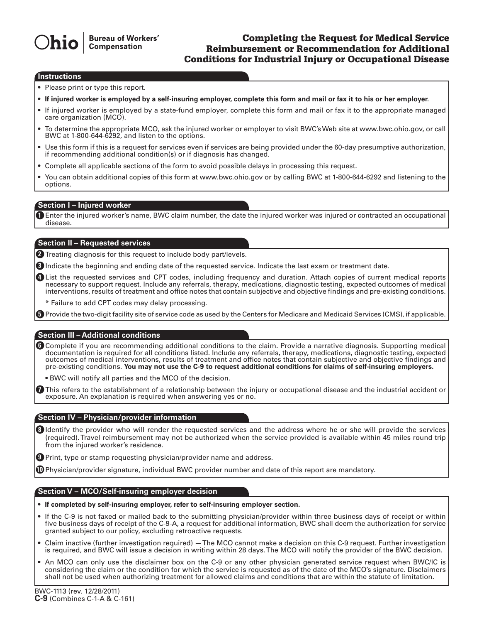# Completing the Request for Medical Service Reimbursement or Recommendation for Additional Conditions for Industrial Injury or Occupational Disease

#### **Instructions**

• Please print or type this report.

- **If injured worker is employed by a self-insuring employer, complete this form and mail or fax it to his or her employer.**
- If injured worker is employed by a state-fund employer, complete this form and mail or fax it to the appropriate managed care organization (MCO).
- To determine the appropriate MCO, ask the injured worker or employer to visit BWC's Web site at www.bwc.ohio.gov, or call BWC at 1-800-644-6292, and listen to the options.
- Use this form if this is a request for services even if services are being provided under the 60-day presumptive authorization, if recommending additional condition(s) or if diagnosis has changed.
- Complete all applicable sections of the form to avoid possible delays in processing this request.
- You can obtain additional copies of this form at www.bwc.ohio.gov or by calling BWC at 1-800-644-6292 and listening to the options.

#### **Section I – Injured worker**

Enter the injured worker's name, BWC claim number, the date the injured worker was injured or contracted an occupational **1** disease.

### **Section II – Requested services**

2 Treating diagnosis for this request to include body part/levels.

**3** Indicate the beginning and ending date of the requested service. Indicate the last exam or treatment date.

List the requested services and CPT codes, including frequency and duration. Attach copies of current medical reports **4** necessary to support request. Include any referrals, therapy, medications, diagnostic testing, expected outcomes of medical interventions, results of treatment and office notes that contain subjective and objective findings and pre-existing conditions.

\* Failure to add CPT codes may delay processing.

Provide the two-digit facility site of service code as used by the Centers for Medicare and Medicaid Services (CMS), if applicable. **5**

### **Section III – Additional conditions**

Complete if you are recommending additional conditions to the claim. Provide a narrative diagnosis. Supporting medical **6** documentation is required for all conditions listed. Include any referrals, therapy, medications, diagnostic testing, expected outcomes of medical interventions, results of treatment and office notes that contain subjective and objective findings and pre-existing conditions. **You may not use the C-9 to request additional conditions for claims of self-insuring employers.**

• BWC will notify all parties and the MCO of the decision.

This refers to the establishment of a relationship between the injury or occupational disease and the industrial accident or **7** exposure. An explanation is required when answering yes or no.

#### **Section IV – Physician/provider information**

**8** Identify the provider who will render the requested services and the address where he or she will provide the services (required).Travel reimbursement may not be authorized when the service provided is available within 45 miles round trip from the injured worker's residence.

Print, type or stamp requesting physician/provider name and address. **9**

 $\textcircled{\textsc{1}}$  Physician/provider signature, individual BWC provider number and date of this report are mandatory.

## **Section V – MCO/Self-insuring employer decision**

- • **If completed by self-insuring employer, refer to self-insuring employer section.**
- If the C-9 is not faxed or mailed back to the submitting physician/provider within three business days of receipt or within five business days of receipt of the C-9-A, a request for additional information, BWC shall deem the authorization for service granted subject to our policy, excluding retroactive requests.
- • Claim inactive (further investigation required) —The MCO cannot make a decision on this C-9 request. Further investigation is required, and BWC will issue a decision in writing within 28 days.The MCO will notify the provider of the BWC decision.
- • An MCO can only use the disclaimer box on the C-9 or any other physician generated service request when BWC/IC is considering the claim or the condition for which the service is requested as of the date of the MCO's signature. Disclaimers shall not be used when authorizing treatment for allowed claims and conditions that are within the statute of limitation.